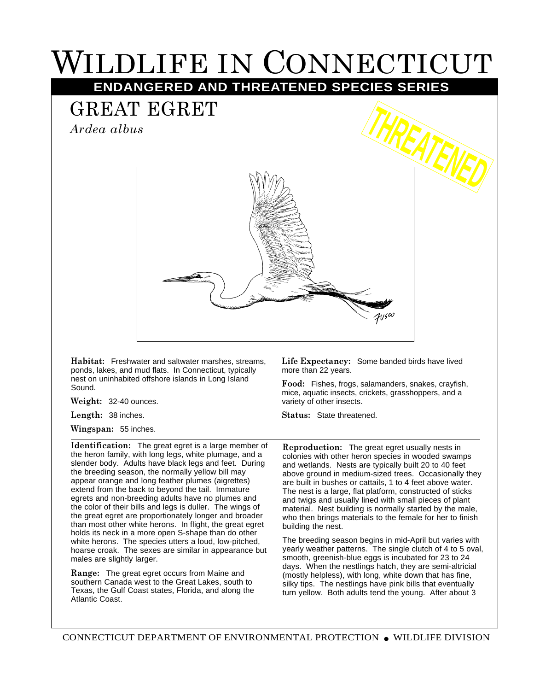## WILDLIFE IN CONNECTICUT

**ENDANGERED AND THREATENED SPECIES SERIES**

## GREAT EGRET

*Ardea albus*



**Habitat:** Freshwater and saltwater marshes, streams, ponds, lakes, and mud flats. In Connecticut, typically nest on uninhabited offshore islands in Long Island Sound.

**Weight:** 32-40 ounces.

**Length:** 38 inches.

**Wingspan:** 55 inches.

**Identification:** The great egret is a large member of the heron family, with long legs, white plumage, and a slender body. Adults have black legs and feet. During the breeding season, the normally yellow bill may appear orange and long feather plumes (aigrettes) extend from the back to beyond the tail. Immature egrets and non-breeding adults have no plumes and the color of their bills and legs is duller. The wings of the great egret are proportionately longer and broader than most other white herons. In flight, the great egret holds its neck in a more open S-shape than do other white herons. The species utters a loud, low-pitched, hoarse croak. The sexes are similar in appearance but males are slightly larger.

**Range:** The great egret occurs from Maine and southern Canada west to the Great Lakes, south to Texas, the Gulf Coast states, Florida, and along the Atlantic Coast.

**Life Expectancy:** Some banded birds have lived more than 22 years.

**Food:** Fishes, frogs, salamanders, snakes, crayfish, mice, aquatic insects, crickets, grasshoppers, and a variety of other insects.

**Status:** State threatened.

**Reproduction:** The great egret usually nests in colonies with other heron species in wooded swamps and wetlands. Nests are typically built 20 to 40 feet above ground in medium-sized trees. Occasionally they are built in bushes or cattails, 1 to 4 feet above water. The nest is a large, flat platform, constructed of sticks and twigs and usually lined with small pieces of plant material. Nest building is normally started by the male, who then brings materials to the female for her to finish building the nest.

The breeding season begins in mid-April but varies with yearly weather patterns. The single clutch of 4 to 5 oval, smooth, greenish-blue eggs is incubated for 23 to 24 days. When the nestlings hatch, they are semi-altricial (mostly helpless), with long, white down that has fine, silky tips. The nestlings have pink bills that eventually turn yellow. Both adults tend the young. After about 3

CONNECTICUT DEPARTMENT OF ENVIRONMENTAL PROTECTION ● WILDLIFE DIVISION